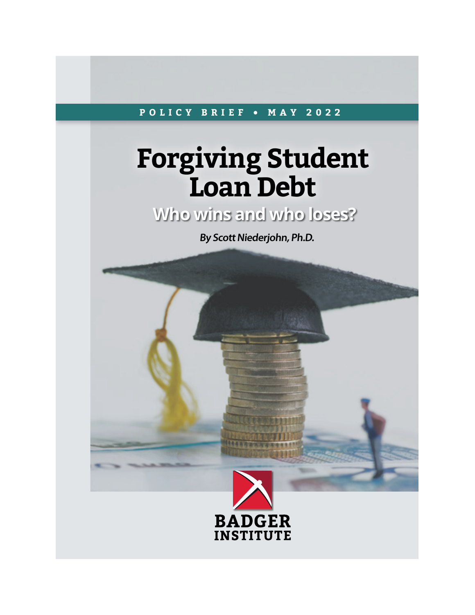#### **POLICY BRIEF • MAY 2022**

## **Forgiving Student Loan Debt**

**Who wins and who loses?**

**By Scott Niederjohn, Ph.D.**

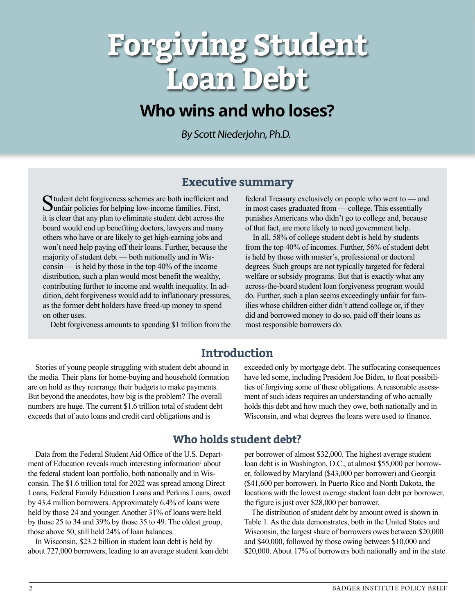# **Forgiving Student Loan Debt**

## **Who wins and who loses?**

By Scott Niederjohn, Ph.D.

**Executive summary**<br> **C** tudent debt forgiveness schemes are both inefficient and federal Treasury Student debt forgiveness schemes are both inefficient and Sunfair policies for helping low-income families. First, it is clear that any plan to eliminate student debt across the board would end up benefiting doctors, lawyers and many others who have or are likely to get high-earning jobs and won't need help paying off their loans. Further, because the majority of student debt — both nationally and in Wisconsin — is held by those in the top 40% of the income distribution, such a plan would most benefit the wealthy, contributing further to income and wealth inequality. In addition, debt forgiveness would add to inflationary pressures, as the former debt holders have freed-up money to spend on other uses.

Debt forgiveness amounts to spending \$1 trillion from the

federal Treasury exclusively on people who went to — and in most cases graduated from — college. This essentially punishes Americans who didn't go to college and, because of that fact, are more likely to need government help.

 In all, 58% of college student debt is held by students from the top 40% of incomes. Further, 56% of student debt is held by those with master's, professional or doctoral degrees. Such groups are not typically targeted for federal welfare or subsidy programs. But that is exactly what any across-the-board student loan forgiveness program would do. Further, such a plan seems exceedingly unfair for families whose children either didn't attend college or, if they did and borrowed money to do so, paid off their loans as most responsible borrowers do.

### **Introduction**

 Stories of young people struggling with student debt abound in the media. Their plans for home-buying and household formation are on hold as they rearrange their budgets to make payments. But beyond the anecdotes, how big is the problem? The overall numbers are huge. The current \$1.6 trillion total of student debt exceeds that of auto loans and credit card obligations and is

exceeded only by mortgage debt. The suffocating consequences have led some, including President Joe Biden, to float possibilities of forgiving some of these obligations. A reasonable assessment of such ideas requires an understanding of who actually holds this debt and how much they owe, both nationally and in Wisconsin, and what degrees the loans were used to finance.

### **Who holds student debt?**

 Data from the Federal Student Aid Office of the U.S. Department of Education reveals much interesting information<sup>1</sup> about the federal student loan portfolio, both nationally and in Wisconsin. The \$1.6 trillion total for 2022 was spread among Direct Loans, Federal Family Education Loans and Perkins Loans, owed by 43.4 million borrowers. Approximately 6.4% of loans were held by those 24 and younger. Another 31% of loans were held by those 25 to 34 and 39% by those 35 to 49. The oldest group, those above 50, still held 24% of loan balances.

 In Wisconsin, \$23.2 billion in student loan debt is held by about 727,000 borrowers, leading to an average student loan debt per borrower of almost \$32,000. The highest average student loan debt is in Washington, D.C., at almost \$55,000 per borrower, followed by Maryland (\$43,000 per borrower) and Georgia (\$41,600 per borrower). In Puerto Rico and North Dakota, the locations with the lowest average student loan debt per borrower, the figure is just over \$28,000 per borrower.

 The distribution of student debt by amount owed is shown in Table 1. As the data demonstrates, both in the United States and Wisconsin, the largest share of borrowers owes between \$20,000 and \$40,000, followed by those owing between \$10,000 and \$20,000. About 17% of borrowers both nationally and in the state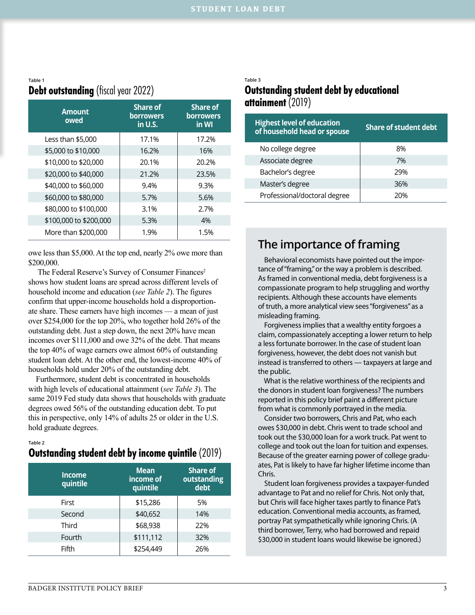#### **Table 1 Debt outstanding** (fiscal year 2022)

| <b>Amount</b><br>owed  | <b>Share of</b><br><b>borrowers</b><br>in U.S. | <b>Share of</b><br><b>borrowers</b><br>in WI |
|------------------------|------------------------------------------------|----------------------------------------------|
| Less than \$5,000      | 17.1%                                          | 17.2%                                        |
| \$5,000 to \$10,000    | 16.2%                                          | 16%                                          |
| \$10,000 to \$20,000   | 20.1%                                          | 20.2%                                        |
| \$20,000 to \$40,000   | 21.2%                                          | 23.5%                                        |
| \$40,000 to \$60,000   | 9.4%                                           | 9.3%                                         |
| \$60,000 to \$80,000   | 5.7%                                           | 5.6%                                         |
| \$80,000 to \$100,000  | 3.1%                                           | 2.7%                                         |
| \$100,000 to \$200,000 | 5.3%                                           | 4%                                           |
| More than \$200,000    | 1.9%                                           | 1.5%                                         |

owe less than \$5,000. At the top end, nearly 2% owe more than \$200,000.

The Federal Reserve's Survey of Consumer Finances<sup>2</sup> shows how student loans are spread across different levels of household income and education (*see Table 2*). The figures confirm that upper-income households hold a disproportionate share. These earners have high incomes — a mean of just over \$254,000 for the top 20%, who together hold 26% of the outstanding debt. Just a step down, the next 20% have mean incomes over \$111,000 and owe 32% of the debt. That means the top 40% of wage earners owe almost 60% of outstanding student loan debt. At the other end, the lowest-income 40% of households hold under 20% of the outstanding debt.

 Furthermore, student debt is concentrated in households with high levels of educational attainment (*see Table 3*). The same 2019 Fed study data shows that households with graduate degrees owed 56% of the outstanding education debt. To put this in perspective, only 14% of adults 25 or older in the U.S. hold graduate degrees.

**Table 2**

#### **Outstanding student debt by income quintile** (2019)

| <b>Income</b><br>quintile | <b>Mean</b><br>income of<br>quintile | <b>Share of</b><br>outstanding<br>debt |
|---------------------------|--------------------------------------|----------------------------------------|
| First                     | \$15,286                             | 5%                                     |
| Second                    | \$40,652                             | 14%                                    |
| Third                     | \$68,938                             | 22%                                    |
| Fourth                    | \$111,112                            | 32%                                    |
| Fifth                     | \$254,449                            | 26%                                    |

#### **Table 3**

#### **Outstanding student debt by educational attainment** (2019)

| <b>Highest level of education</b><br>of household head or spouse | <b>Share of student debt</b> |
|------------------------------------------------------------------|------------------------------|
| No college degree                                                | 8%                           |
| Associate degree                                                 | 7%                           |
| Bachelor's degree                                                | 29%                          |
| Master's degree                                                  | 36%                          |
| Professional/doctoral degree                                     | 20%                          |

**The importance of framing**<br> **Behavioral economists have pointed out the tance of "framing," or the way a problem is desponent**  Behavioral economists have pointed out the importance of "framing," or the way a problem is described. As framed in conventional media, debt forgiveness is a compassionate program to help struggling and worthy recipients. Although these accounts have elements of truth, a more analytical view sees "forgiveness" as a misleading framing.

 Forgiveness implies that a wealthy entity forgoes a claim, compassionately accepting a lower return to help a less fortunate borrower. In the case of student loan forgiveness, however, the debt does not vanish but instead is transferred to others — taxpayers at large and the public.

 What is the relative worthiness of the recipients and the donors in student loan forgiveness? The numbers reported in this policy brief paint a different picture from what is commonly portrayed in the media.

 Consider two borrowers, Chris and Pat, who each owes \$30,000 in debt. Chris went to trade school and took out the \$30,000 loan for a work truck. Pat went to college and took out the loan for tuition and expenses. Because of the greater earning power of college graduates, Pat is likely to have far higher lifetime income than Chris.

 Student loan forgiveness provides a taxpayer-funded advantage to Pat and no relief for Chris. Not only that, but Chris will face higher taxes partly to finance Pat's education. Conventional media accounts, as framed, portray Pat sympathetically while ignoring Chris. (A third borrower, Terry, who had borrowed and repaid \$30,000 in student loans would likewise be ignored.)